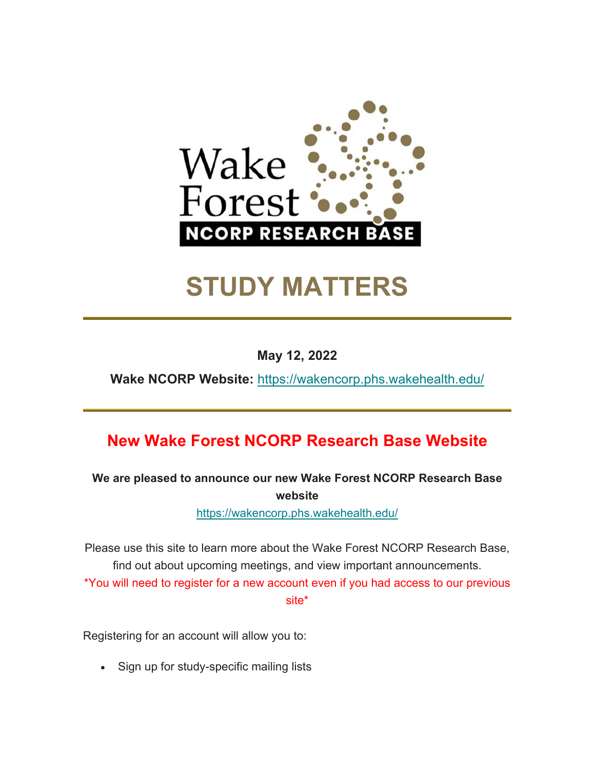

# **STUDY MATTERS**

**May 12, 2022** 

**Wake NCORP Website:** https://wakencorp.phs.wakehealth.edu/

## **New Wake Forest NCORP Research Base Website**

**We are pleased to announce our new Wake Forest NCORP Research Base website**

https://wakencorp.phs.wakehealth.edu/

Please use this site to learn more about the Wake Forest NCORP Research Base, find out about upcoming meetings, and view important announcements. \*You will need to register for a new account even if you had access to our previous site\*

Registering for an account will allow you to:

Sign up for study-specific mailing lists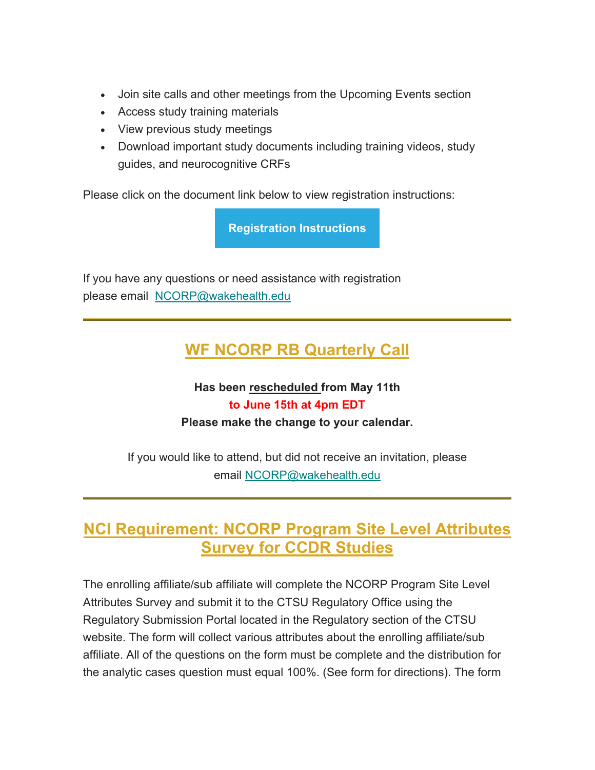- Join site calls and other meetings from the Upcoming Events section
- Access study training materials
- View previous study meetings
- Download important study documents including training videos, study guides, and neurocognitive CRFs

Please click on the document link below to view registration instructions:

**Registration Instructions**

If you have any questions or need assistance with registration please email NCORP@wakehealth.edu

## **WF NCORP RB Quarterly Call**

#### **Has been rescheduled from May 11th to June 15th at 4pm EDT Please make the change to your calendar.**

If you would like to attend, but did not receive an invitation, please email NCORP@wakehealth.edu

## **NCI Requirement: NCORP Program Site Level Attributes Survey for CCDR Studies**

The enrolling affiliate/sub affiliate will complete the NCORP Program Site Level Attributes Survey and submit it to the CTSU Regulatory Office using the Regulatory Submission Portal located in the Regulatory section of the CTSU website. The form will collect various attributes about the enrolling affiliate/sub affiliate. All of the questions on the form must be complete and the distribution for the analytic cases question must equal 100%. (See form for directions). The form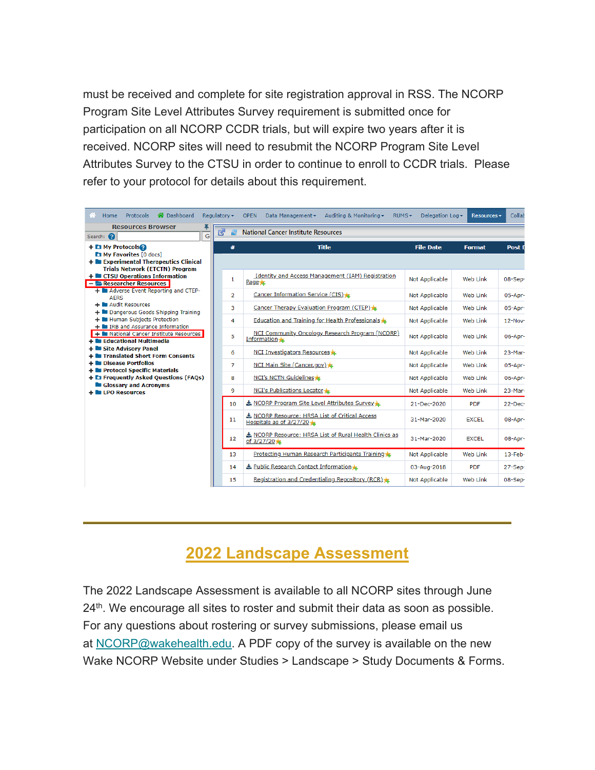must be received and complete for site registration approval in RSS. The NCORP Program Site Level Attributes Survey requirement is submitted once for participation on all NCORP CCDR trials, but will expire two years after it is received. NCORP sites will need to resubmit the NCORP Program Site Level Attributes Survey to the CTSU in order to continue to enroll to CCDR trials. Please refer to your protocol for details about this requirement.

| A Dashboard<br>Home<br><b>Protocols</b>                                                                                                                                                                                                                                                                                                                                                                                                                                                                                           | Regulatory -    | Auditing & Monitoring ▼<br><b>OPEN</b><br>Data Management -<br>$RUMS -$ | Delegation Log - | <b>Resources</b> | Collab        |  |  |  |  |  |
|-----------------------------------------------------------------------------------------------------------------------------------------------------------------------------------------------------------------------------------------------------------------------------------------------------------------------------------------------------------------------------------------------------------------------------------------------------------------------------------------------------------------------------------|-----------------|-------------------------------------------------------------------------|------------------|------------------|---------------|--|--|--|--|--|
| <b>Resources Browser</b><br>囪<br><b>National Cancer Institute Resources</b><br>2<br>G<br>Search: 2                                                                                                                                                                                                                                                                                                                                                                                                                                |                 |                                                                         |                  |                  |               |  |  |  |  |  |
| + My Protocols <sup>2</sup><br><b>Et My Favorites [0 docs]</b>                                                                                                                                                                                                                                                                                                                                                                                                                                                                    | #               | <b>Title</b>                                                            | <b>File Date</b> | <b>Format</b>    | <b>Post D</b> |  |  |  |  |  |
| + Experimental Therapeutics Clinical<br><b>Trials Network (ETCTN) Program</b>                                                                                                                                                                                                                                                                                                                                                                                                                                                     |                 |                                                                         |                  |                  |               |  |  |  |  |  |
| + CTSU Operations Information<br>- Researcher Resources<br>+ Adverse Event Reporting and CTEP-<br><b>AERS</b><br>+ Audit Resources<br>+ Dangerous Goods Shipping Training<br>+ Human Subjects Protection<br>+ In IRB and Assurance Information<br>+ National Cancer Institute Resources<br>+ la Educational Multimedia<br>+ Site Advisory Panel<br>+ Translated Short Form Consents<br>+ Disease Portfolios<br>+ Protocol Specific Materials<br>+ C Frequently Asked Questions (FAQs)<br>Glossary and Acronyms<br>+ LPO Resources | $\mathbf{1}$    | Identity and Access Management (IAM) Registration<br>$Page \bigstar$    | Not Applicable   | Web Link         | 08-Sep-       |  |  |  |  |  |
|                                                                                                                                                                                                                                                                                                                                                                                                                                                                                                                                   | $\overline{2}$  | Cancer Information Service (CIS)                                        | Not Applicable   | Web Link         | 05-Apr-       |  |  |  |  |  |
|                                                                                                                                                                                                                                                                                                                                                                                                                                                                                                                                   | з               | Cancer Therapy Evaluation Program (CTEP)                                | Not Applicable   | Web Link         | 05-Apr-       |  |  |  |  |  |
|                                                                                                                                                                                                                                                                                                                                                                                                                                                                                                                                   | 4               | Education and Training for Health Professionals                         | Not Applicable   | Web Link         | $12$ -Nov-    |  |  |  |  |  |
|                                                                                                                                                                                                                                                                                                                                                                                                                                                                                                                                   | 5               | NCI Community Oncology Research Program (NCORP)<br>Information          | Not Applicable   | Web Link         | 06-Apr-       |  |  |  |  |  |
|                                                                                                                                                                                                                                                                                                                                                                                                                                                                                                                                   | 6               | NCI Investigators Resources                                             | Not Applicable   | Web Link         | 23-Mar-       |  |  |  |  |  |
|                                                                                                                                                                                                                                                                                                                                                                                                                                                                                                                                   | 7               | NCI Main Site (Cancer.gov)                                              | Not Applicable   | Web Link         | 05-Apr-       |  |  |  |  |  |
|                                                                                                                                                                                                                                                                                                                                                                                                                                                                                                                                   | 8               | NCI's NCTN Guidelines                                                   | Not Applicable   | Web Link         | 06-Apr-       |  |  |  |  |  |
|                                                                                                                                                                                                                                                                                                                                                                                                                                                                                                                                   | 9               | NCI's Publications Locator                                              | Not Applicable   | Web Link         | 23-Mar-       |  |  |  |  |  |
|                                                                                                                                                                                                                                                                                                                                                                                                                                                                                                                                   | 10 <sup>1</sup> | NCORP Program Site Level Attributes Survey                              | 21-Dec-2020      | <b>PDF</b>       | $22$ -Dec-    |  |  |  |  |  |
|                                                                                                                                                                                                                                                                                                                                                                                                                                                                                                                                   | 11              | NCORP Resource: HRSA List of Critical Access<br>Hospitals as of 3/27/20 | 31-Mar-2020      | <b>EXCEL</b>     | 08-Apr-       |  |  |  |  |  |
|                                                                                                                                                                                                                                                                                                                                                                                                                                                                                                                                   | 12<br>13        | NCORP Resource: HRSA List of Rural Health Clinics as<br>of $3/27/20$    | 31-Mar-2020      | <b>EXCEL</b>     | 08-Apr-       |  |  |  |  |  |
|                                                                                                                                                                                                                                                                                                                                                                                                                                                                                                                                   |                 | Protecting Human Research Participants Training                         | Not Applicable   | Web Link         | $13$ -Feb-    |  |  |  |  |  |
|                                                                                                                                                                                                                                                                                                                                                                                                                                                                                                                                   | 14              | Public Research Contact Information                                     | 03-Aug-2018      | <b>PDF</b>       | 27-Sep-       |  |  |  |  |  |
|                                                                                                                                                                                                                                                                                                                                                                                                                                                                                                                                   | 15              | Registration and Credentialing Repository (RCR)                         | Not Applicable   | Web Link         | 08-Sep-       |  |  |  |  |  |

## **2022 Landscape Assessment**

The 2022 Landscape Assessment is available to all NCORP sites through June 24<sup>th</sup>. We encourage all sites to roster and submit their data as soon as possible. For any questions about rostering or survey submissions, please email us at NCORP@wakehealth.edu. A PDF copy of the survey is available on the new Wake NCORP Website under Studies > Landscape > Study Documents & Forms.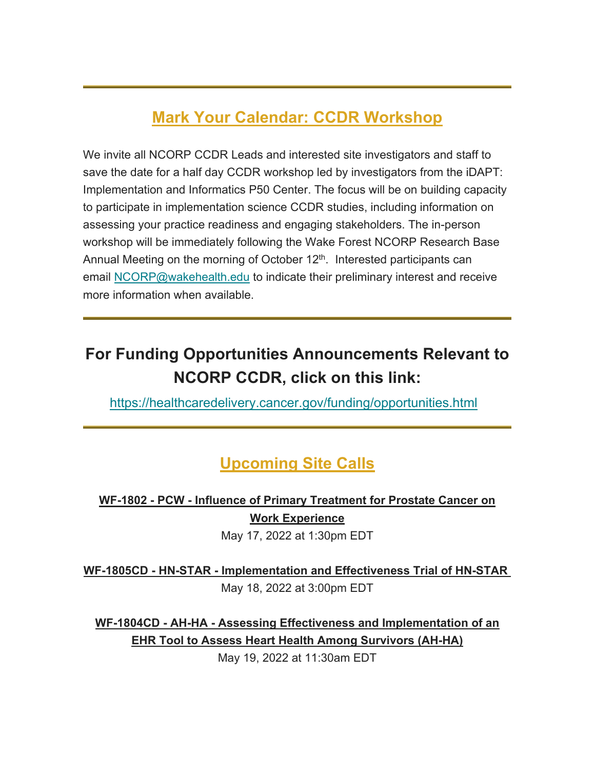# **Mark Your Calendar: CCDR Workshop**

We invite all NCORP CCDR Leads and interested site investigators and staff to save the date for a half day CCDR workshop led by investigators from the iDAPT: Implementation and Informatics P50 Center. The focus will be on building capacity to participate in implementation science CCDR studies, including information on assessing your practice readiness and engaging stakeholders. The in-person workshop will be immediately following the Wake Forest NCORP Research Base Annual Meeting on the morning of October  $12<sup>th</sup>$ . Interested participants can email NCORP@wakehealth.edu to indicate their preliminary interest and receive more information when available.

# **For Funding Opportunities Announcements Relevant to NCORP CCDR, click on this link:**

https://healthcaredelivery.cancer.gov/funding/opportunities.html

## **Upcoming Site Calls**

## **WF-1802 - PCW - Influence of Primary Treatment for Prostate Cancer on Work Experience**

May 17, 2022 at 1:30pm EDT

**WF-1805CD - HN-STAR - Implementation and Effectiveness Trial of HN-STAR**  May 18, 2022 at 3:00pm EDT

**WF-1804CD - AH-HA - Assessing Effectiveness and Implementation of an EHR Tool to Assess Heart Health Among Survivors (AH-HA)**

May 19, 2022 at 11:30am EDT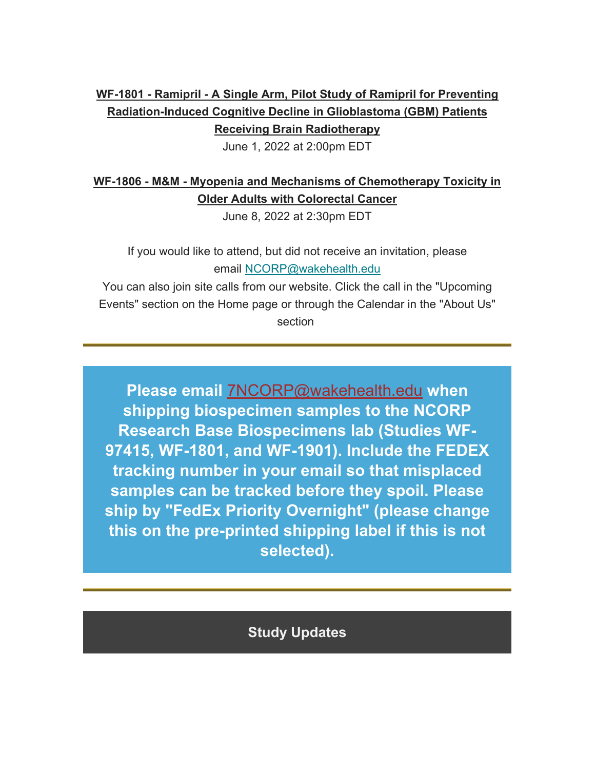#### **WF-1801 - Ramipril - A Single Arm, Pilot Study of Ramipril for Preventing Radiation-Induced Cognitive Decline in Glioblastoma (GBM) Patients Receiving Brain Radiotherapy**

June 1, 2022 at 2:00pm EDT

## **WF-1806 - M&M - Myopenia and Mechanisms of Chemotherapy Toxicity in Older Adults with Colorectal Cancer**

June 8, 2022 at 2:30pm EDT

If you would like to attend, but did not receive an invitation, please email NCORP@wakehealth.edu

You can also join site calls from our website. Click the call in the "Upcoming Events" section on the Home page or through the Calendar in the "About Us" section

**Please email** 7NCORP@wakehealth.edu **when shipping biospecimen samples to the NCORP Research Base Biospecimens lab (Studies WF-97415, WF-1801, and WF-1901). Include the FEDEX tracking number in your email so that misplaced samples can be tracked before they spoil. Please ship by "FedEx Priority Overnight" (please change this on the pre-printed shipping label if this is not selected).**

## **Study Updates**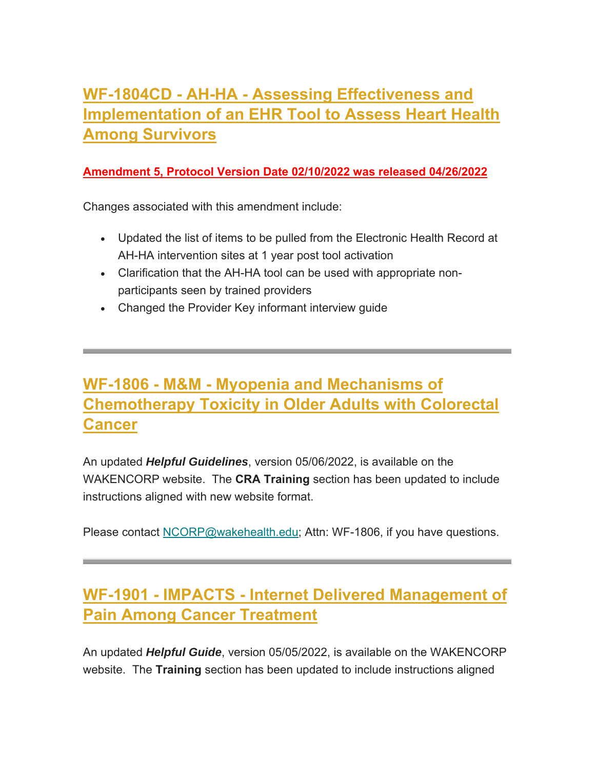# **WF-1804CD - AH-HA - Assessing Effectiveness and Implementation of an EHR Tool to Assess Heart Health Among Survivors**

#### **Amendment 5, Protocol Version Date 02/10/2022 was released 04/26/2022**

Changes associated with this amendment include:

- Updated the list of items to be pulled from the Electronic Health Record at AH-HA intervention sites at 1 year post tool activation
- Clarification that the AH-HA tool can be used with appropriate nonparticipants seen by trained providers
- Changed the Provider Key informant interview guide

# **WF-1806 - M&M - Myopenia and Mechanisms of Chemotherapy Toxicity in Older Adults with Colorectal Cancer**

An updated *Helpful Guidelines*, version 05/06/2022, is available on the WAKENCORP website. The **CRA Training** section has been updated to include instructions aligned with new website format.

Please contact NCORP@wakehealth.edu; Attn: WF-1806, if you have questions.

# **WF-1901 - IMPACTS - Internet Delivered Management of Pain Among Cancer Treatment**

An updated *Helpful Guide*, version 05/05/2022, is available on the WAKENCORP website. The **Training** section has been updated to include instructions aligned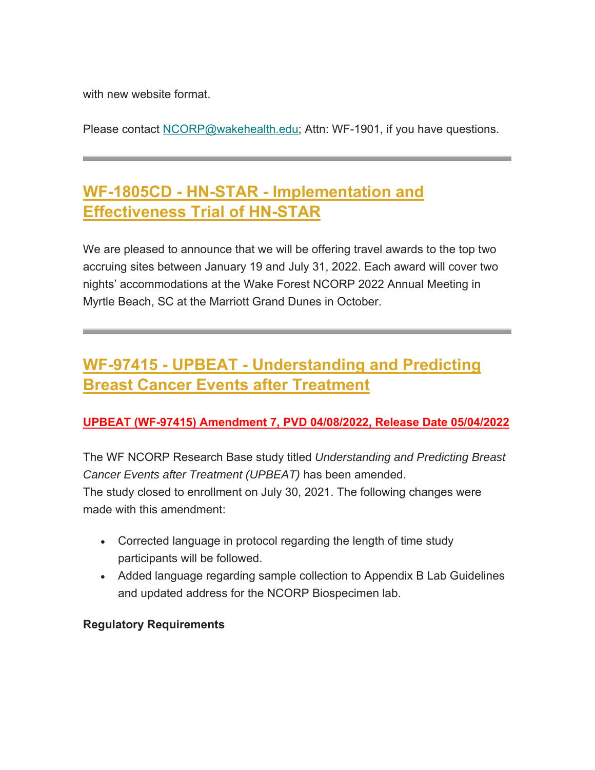with new website format.

Please contact NCORP@wakehealth.edu; Attn: WF-1901, if you have questions.

## **WF-1805CD - HN-STAR - Implementation and Effectiveness Trial of HN-STAR**

We are pleased to announce that we will be offering travel awards to the top two accruing sites between January 19 and July 31, 2022. Each award will cover two nights' accommodations at the Wake Forest NCORP 2022 Annual Meeting in Myrtle Beach, SC at the Marriott Grand Dunes in October.

# **WF-97415 - UPBEAT - Understanding and Predicting Breast Cancer Events after Treatment**

#### **UPBEAT (WF-97415) Amendment 7, PVD 04/08/2022, Release Date 05/04/2022**

The WF NCORP Research Base study titled *Understanding and Predicting Breast Cancer Events after Treatment (UPBEAT)* has been amended. The study closed to enrollment on July 30, 2021. The following changes were made with this amendment:

- Corrected language in protocol regarding the length of time study participants will be followed.
- Added language regarding sample collection to Appendix B Lab Guidelines and updated address for the NCORP Biospecimen lab.

#### **Regulatory Requirements**